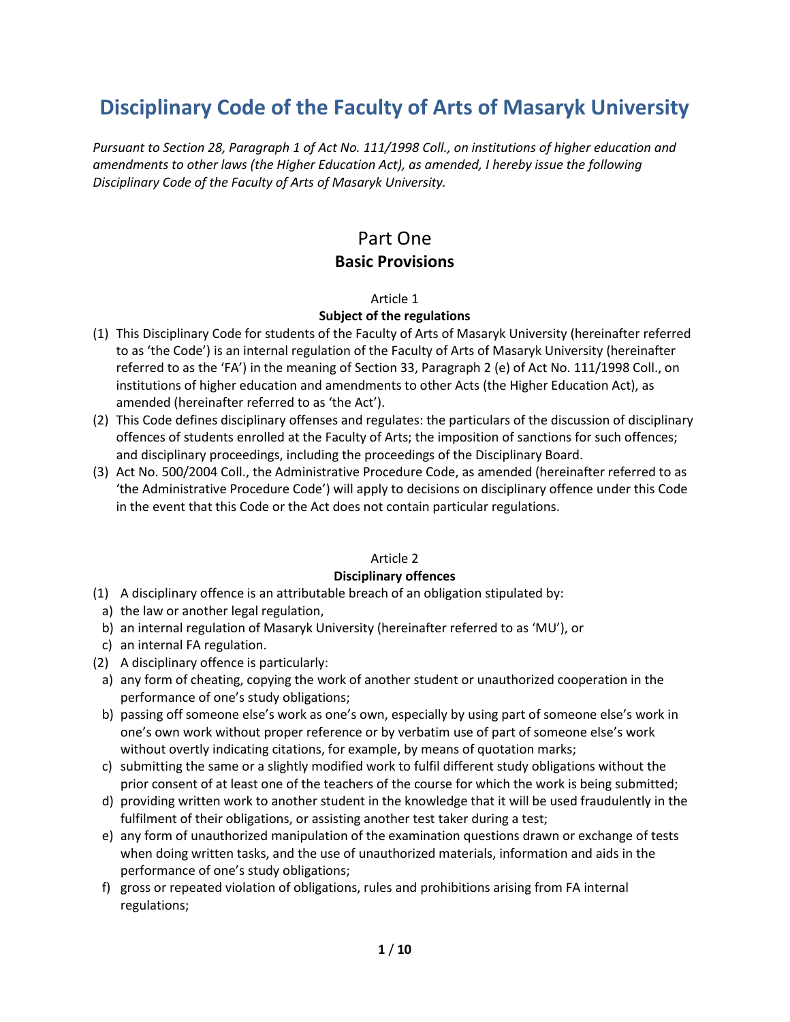# **Disciplinary Code of the Faculty of Arts of Masaryk University**

*Pursuant to Section 28, Paragraph 1 of Act No. 111/1998 Coll., on institutions of higher education and amendments to other laws (the Higher Education Act), as amended, I hereby issue the following Disciplinary Code of the Faculty of Arts of Masaryk University.*

## Part One **Basic Provisions**

#### Article 1

## **Subject of the regulations**

- (1) This Disciplinary Code for students of the Faculty of Arts of Masaryk University (hereinafter referred to as 'the Code') is an internal regulation of the Faculty of Arts of Masaryk University (hereinafter referred to as the 'FA') in the meaning of Section 33, Paragraph 2 (e) of Act No. 111/1998 Coll., on institutions of higher education and amendments to other Acts (the Higher Education Act), as amended (hereinafter referred to as 'the Act').
- (2) This Code defines disciplinary offenses and regulates: the particulars of the discussion of disciplinary offences of students enrolled at the Faculty of Arts; the imposition of sanctions for such offences; and disciplinary proceedings, including the proceedings of the Disciplinary Board.
- (3) Act No. 500/2004 Coll., the Administrative Procedure Code, as amended (hereinafter referred to as 'the Administrative Procedure Code') will apply to decisions on disciplinary offence under this Code in the event that this Code or the Act does not contain particular regulations.

## Article 2

## **Disciplinary offences**

- (1) A disciplinary offence is an attributable breach of an obligation stipulated by:
- a) the law or another legal regulation,
- b) an internal regulation of Masaryk University (hereinafter referred to as 'MU'), or
- c) an internal FA regulation.
- (2) A disciplinary offence is particularly:
	- a) any form of cheating, copying the work of another student or unauthorized cooperation in the performance of one's study obligations;
	- b) passing off someone else's work as one's own, especially by using part of someone else's work in one's own work without proper reference or by verbatim use of part of someone else's work without overtly indicating citations, for example, by means of quotation marks;
	- c) submitting the same or a slightly modified work to fulfil different study obligations without the prior consent of at least one of the teachers of the course for which the work is being submitted;
	- d) providing written work to another student in the knowledge that it will be used fraudulently in the fulfilment of their obligations, or assisting another test taker during a test;
	- e) any form of unauthorized manipulation of the examination questions drawn or exchange of tests when doing written tasks, and the use of unauthorized materials, information and aids in the performance of one's study obligations;
	- f) gross or repeated violation of obligations, rules and prohibitions arising from FA internal regulations;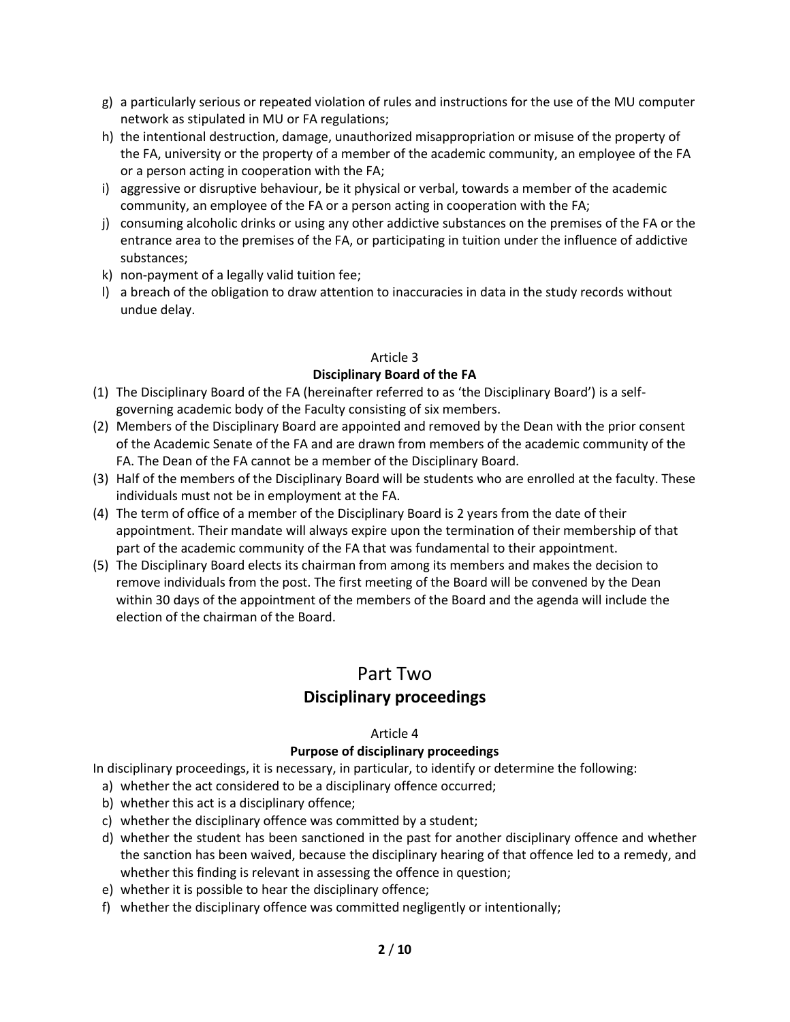- g) a particularly serious or repeated violation of rules and instructions for the use of the MU computer network as stipulated in MU or FA regulations;
- h) the intentional destruction, damage, unauthorized misappropriation or misuse of the property of the FA, university or the property of a member of the academic community, an employee of the FA or a person acting in cooperation with the FA;
- i) aggressive or disruptive behaviour, be it physical or verbal, towards a member of the academic community, an employee of the FA or a person acting in cooperation with the FA;
- j) consuming alcoholic drinks or using any other addictive substances on the premises of the FA or the entrance area to the premises of the FA, or participating in tuition under the influence of addictive substances;
- k) non-payment of a legally valid tuition fee;
- l) a breach of the obligation to draw attention to inaccuracies in data in the study records without undue delay.

## **Disciplinary Board of the FA**

- (1) The Disciplinary Board of the FA (hereinafter referred to as 'the Disciplinary Board') is a selfgoverning academic body of the Faculty consisting of six members.
- (2) Members of the Disciplinary Board are appointed and removed by the Dean with the prior consent of the Academic Senate of the FA and are drawn from members of the academic community of the FA. The Dean of the FA cannot be a member of the Disciplinary Board.
- (3) Half of the members of the Disciplinary Board will be students who are enrolled at the faculty. These individuals must not be in employment at the FA.
- (4) The term of office of a member of the Disciplinary Board is 2 years from the date of their appointment. Their mandate will always expire upon the termination of their membership of that part of the academic community of the FA that was fundamental to their appointment.
- (5) The Disciplinary Board elects its chairman from among its members and makes the decision to remove individuals from the post. The first meeting of the Board will be convened by the Dean within 30 days of the appointment of the members of the Board and the agenda will include the election of the chairman of the Board.

## Part Two **Disciplinary proceedings**

## Article 4

## **Purpose of disciplinary proceedings**

In disciplinary proceedings, it is necessary, in particular, to identify or determine the following:

- a) whether the act considered to be a disciplinary offence occurred;
- b) whether this act is a disciplinary offence;
- c) whether the disciplinary offence was committed by a student;
- d) whether the student has been sanctioned in the past for another disciplinary offence and whether the sanction has been waived, because the disciplinary hearing of that offence led to a remedy, and whether this finding is relevant in assessing the offence in question;
- e) whether it is possible to hear the disciplinary offence;
- f) whether the disciplinary offence was committed negligently or intentionally;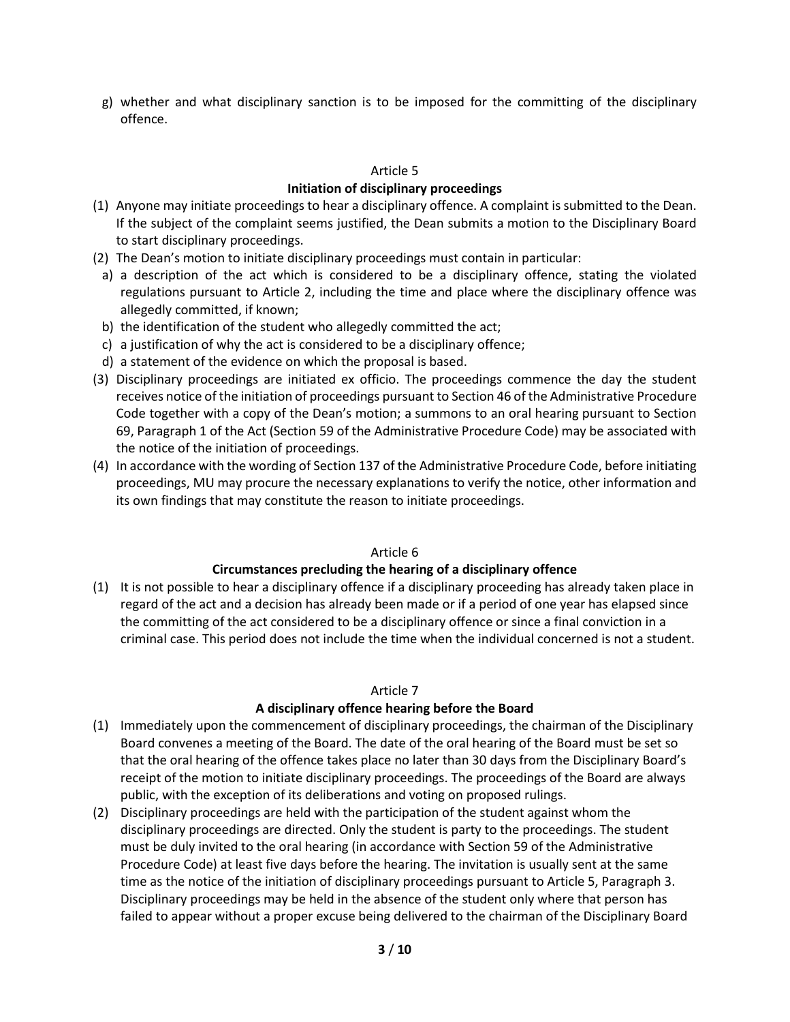g) whether and what disciplinary sanction is to be imposed for the committing of the disciplinary offence.

#### Article 5

## **Initiation of disciplinary proceedings**

- (1) Anyone may initiate proceedings to hear a disciplinary offence. A complaint is submitted to the Dean. If the subject of the complaint seems justified, the Dean submits a motion to the Disciplinary Board to start disciplinary proceedings.
- (2) The Dean's motion to initiate disciplinary proceedings must contain in particular:
- a) a description of the act which is considered to be a disciplinary offence, stating the violated regulations pursuant to Article 2, including the time and place where the disciplinary offence was allegedly committed, if known;
- b) the identification of the student who allegedly committed the act;
- c) a justification of why the act is considered to be a disciplinary offence;
- d) a statement of the evidence on which the proposal is based.
- (3) Disciplinary proceedings are initiated ex officio. The proceedings commence the day the student receives notice of the initiation of proceedings pursuant to Section 46 of the Administrative Procedure Code together with a copy of the Dean's motion; a summons to an oral hearing pursuant to Section 69, Paragraph 1 of the Act (Section 59 of the Administrative Procedure Code) may be associated with the notice of the initiation of proceedings.
- (4) In accordance with the wording of Section 137 of the Administrative Procedure Code, before initiating proceedings, MU may procure the necessary explanations to verify the notice, other information and its own findings that may constitute the reason to initiate proceedings.

## Article 6

## **Circumstances precluding the hearing of a disciplinary offence**

(1) It is not possible to hear a disciplinary offence if a disciplinary proceeding has already taken place in regard of the act and a decision has already been made or if a period of one year has elapsed since the committing of the act considered to be a disciplinary offence or since a final conviction in a criminal case. This period does not include the time when the individual concerned is not a student.

## Article 7

## **A disciplinary offence hearing before the Board**

- (1) Immediately upon the commencement of disciplinary proceedings, the chairman of the Disciplinary Board convenes a meeting of the Board. The date of the oral hearing of the Board must be set so that the oral hearing of the offence takes place no later than 30 days from the Disciplinary Board's receipt of the motion to initiate disciplinary proceedings. The proceedings of the Board are always public, with the exception of its deliberations and voting on proposed rulings.
- (2) Disciplinary proceedings are held with the participation of the student against whom the disciplinary proceedings are directed. Only the student is party to the proceedings. The student must be duly invited to the oral hearing (in accordance with Section 59 of the Administrative Procedure Code) at least five days before the hearing. The invitation is usually sent at the same time as the notice of the initiation of disciplinary proceedings pursuant to Article 5, Paragraph 3. Disciplinary proceedings may be held in the absence of the student only where that person has failed to appear without a proper excuse being delivered to the chairman of the Disciplinary Board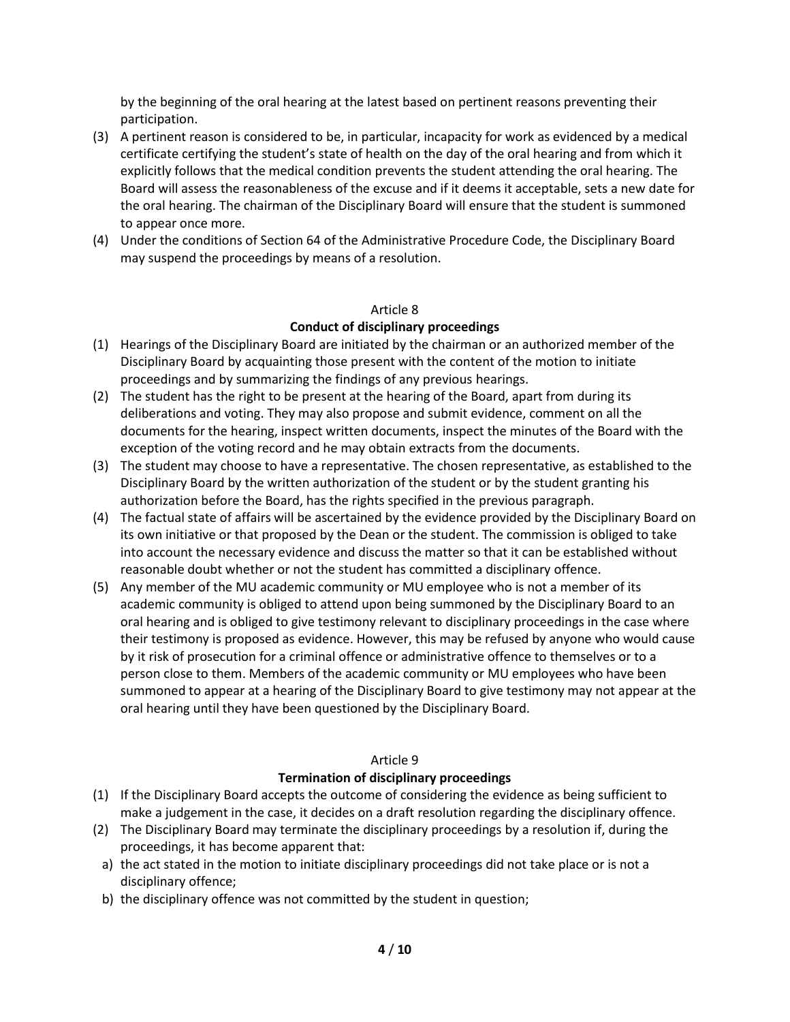by the beginning of the oral hearing at the latest based on pertinent reasons preventing their participation.

- (3) A pertinent reason is considered to be, in particular, incapacity for work as evidenced by a medical certificate certifying the student's state of health on the day of the oral hearing and from which it explicitly follows that the medical condition prevents the student attending the oral hearing. The Board will assess the reasonableness of the excuse and if it deems it acceptable, sets a new date for the oral hearing. The chairman of the Disciplinary Board will ensure that the student is summoned to appear once more.
- (4) Under the conditions of Section 64 of the Administrative Procedure Code, the Disciplinary Board may suspend the proceedings by means of a resolution.

#### Article 8

## **Conduct of disciplinary proceedings**

- (1) Hearings of the Disciplinary Board are initiated by the chairman or an authorized member of the Disciplinary Board by acquainting those present with the content of the motion to initiate proceedings and by summarizing the findings of any previous hearings.
- (2) The student has the right to be present at the hearing of the Board, apart from during its deliberations and voting. They may also propose and submit evidence, comment on all the documents for the hearing, inspect written documents, inspect the minutes of the Board with the exception of the voting record and he may obtain extracts from the documents.
- (3) The student may choose to have a representative. The chosen representative, as established to the Disciplinary Board by the written authorization of the student or by the student granting his authorization before the Board, has the rights specified in the previous paragraph.
- (4) The factual state of affairs will be ascertained by the evidence provided by the Disciplinary Board on its own initiative or that proposed by the Dean or the student. The commission is obliged to take into account the necessary evidence and discuss the matter so that it can be established without reasonable doubt whether or not the student has committed a disciplinary offence.
- (5) Any member of the MU academic community or MU employee who is not a member of its academic community is obliged to attend upon being summoned by the Disciplinary Board to an oral hearing and is obliged to give testimony relevant to disciplinary proceedings in the case where their testimony is proposed as evidence. However, this may be refused by anyone who would cause by it risk of prosecution for a criminal offence or administrative offence to themselves or to a person close to them. Members of the academic community or MU employees who have been summoned to appear at a hearing of the Disciplinary Board to give testimony may not appear at the oral hearing until they have been questioned by the Disciplinary Board.

## Article 9

## **Termination of disciplinary proceedings**

- (1) If the Disciplinary Board accepts the outcome of considering the evidence as being sufficient to make a judgement in the case, it decides on a draft resolution regarding the disciplinary offence.
- (2) The Disciplinary Board may terminate the disciplinary proceedings by a resolution if, during the proceedings, it has become apparent that:
- a) the act stated in the motion to initiate disciplinary proceedings did not take place or is not a disciplinary offence;
- b) the disciplinary offence was not committed by the student in question;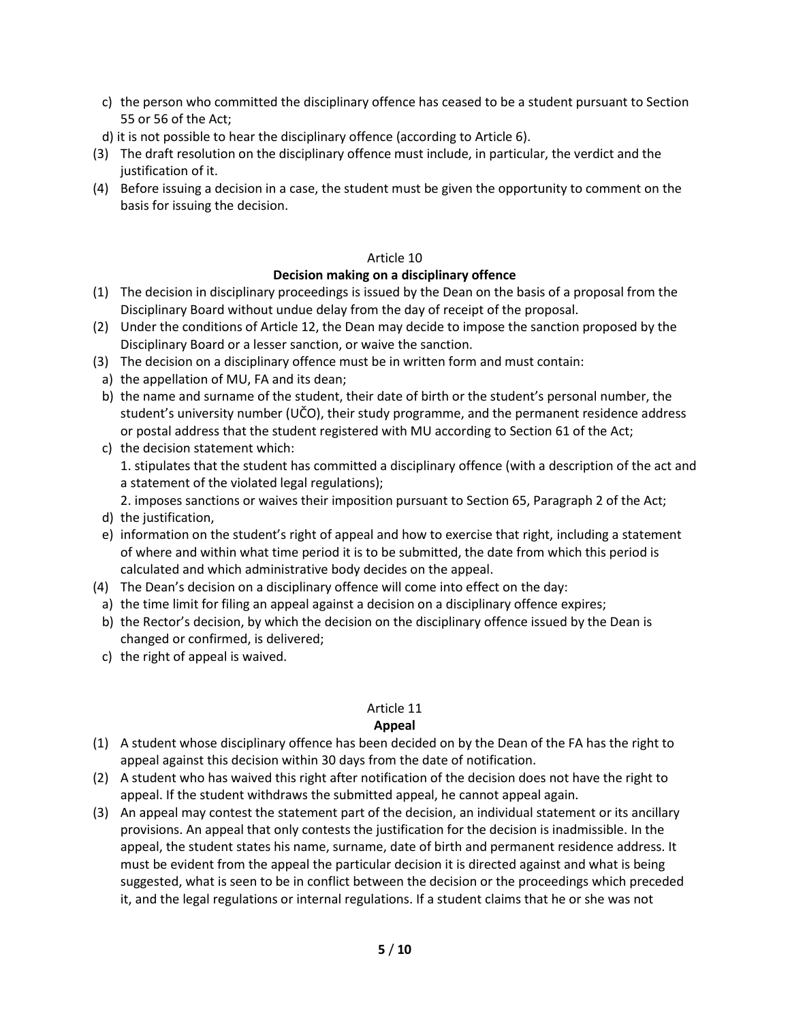- c) the person who committed the disciplinary offence has ceased to be a student pursuant to Section 55 or 56 of the Act;
- d) it is not possible to hear the disciplinary offence (according to Article 6).
- (3) The draft resolution on the disciplinary offence must include, in particular, the verdict and the justification of it.
- (4) Before issuing a decision in a case, the student must be given the opportunity to comment on the basis for issuing the decision.

## **Decision making on a disciplinary offence**

- (1) The decision in disciplinary proceedings is issued by the Dean on the basis of a proposal from the Disciplinary Board without undue delay from the day of receipt of the proposal.
- (2) Under the conditions of Article 12, the Dean may decide to impose the sanction proposed by the Disciplinary Board or a lesser sanction, or waive the sanction.
- (3) The decision on a disciplinary offence must be in written form and must contain:
	- a) the appellation of MU, FA and its dean;
	- b) the name and surname of the student, their date of birth or the student's personal number, the student's university number (UČO), their study programme, and the permanent residence address or postal address that the student registered with MU according to Section 61 of the Act;
	- c) the decision statement which: 1. stipulates that the student has committed a disciplinary offence (with a description of the act and a statement of the violated legal regulations);
		- 2. imposes sanctions or waives their imposition pursuant to Section 65, Paragraph 2 of the Act;
	- d) the justification,
	- e) information on the student's right of appeal and how to exercise that right, including a statement of where and within what time period it is to be submitted, the date from which this period is calculated and which administrative body decides on the appeal.
- (4) The Dean's decision on a disciplinary offence will come into effect on the day:
- a) the time limit for filing an appeal against a decision on a disciplinary offence expires;
- b) the Rector's decision, by which the decision on the disciplinary offence issued by the Dean is changed or confirmed, is delivered;
- c) the right of appeal is waived.

## Article 11

## **Appeal**

- (1) A student whose disciplinary offence has been decided on by the Dean of the FA has the right to appeal against this decision within 30 days from the date of notification.
- (2) A student who has waived this right after notification of the decision does not have the right to appeal. If the student withdraws the submitted appeal, he cannot appeal again.
- (3) An appeal may contest the statement part of the decision, an individual statement or its ancillary provisions. An appeal that only contests the justification for the decision is inadmissible. In the appeal, the student states his name, surname, date of birth and permanent residence address. It must be evident from the appeal the particular decision it is directed against and what is being suggested, what is seen to be in conflict between the decision or the proceedings which preceded it, and the legal regulations or internal regulations. If a student claims that he or she was not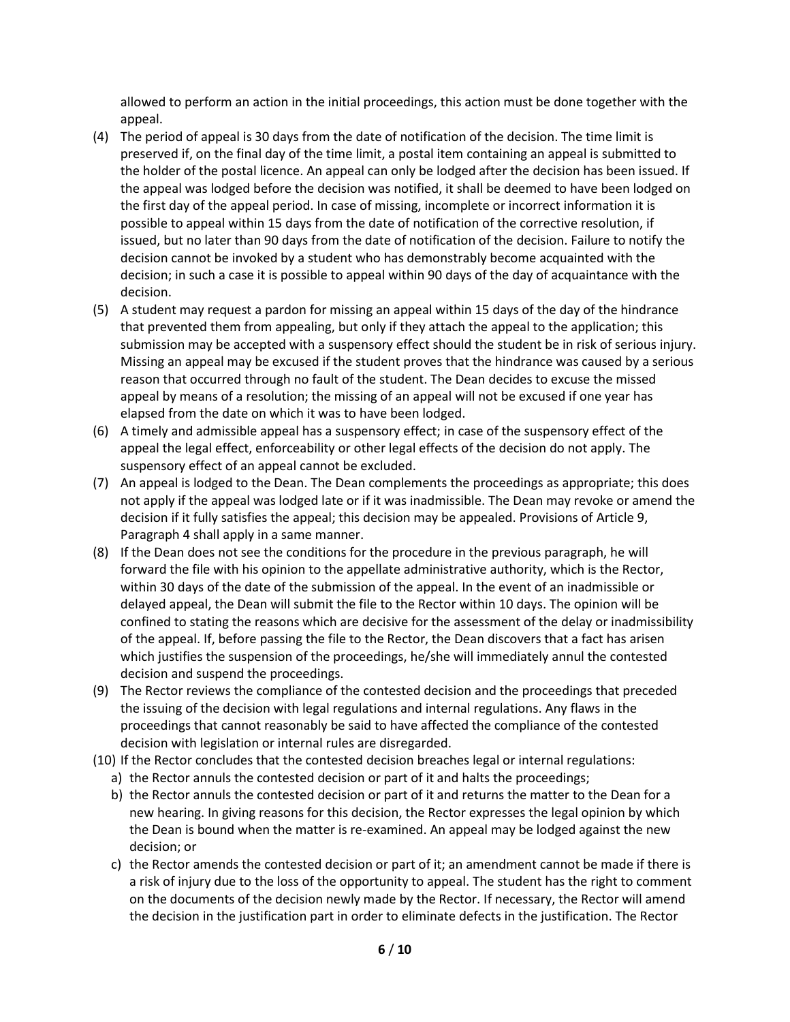allowed to perform an action in the initial proceedings, this action must be done together with the appeal.

- (4) The period of appeal is 30 days from the date of notification of the decision. The time limit is preserved if, on the final day of the time limit, a postal item containing an appeal is submitted to the holder of the postal licence. An appeal can only be lodged after the decision has been issued. If the appeal was lodged before the decision was notified, it shall be deemed to have been lodged on the first day of the appeal period. In case of missing, incomplete or incorrect information it is possible to appeal within 15 days from the date of notification of the corrective resolution, if issued, but no later than 90 days from the date of notification of the decision. Failure to notify the decision cannot be invoked by a student who has demonstrably become acquainted with the decision; in such a case it is possible to appeal within 90 days of the day of acquaintance with the decision.
- (5) A student may request a pardon for missing an appeal within 15 days of the day of the hindrance that prevented them from appealing, but only if they attach the appeal to the application; this submission may be accepted with a suspensory effect should the student be in risk of serious injury. Missing an appeal may be excused if the student proves that the hindrance was caused by a serious reason that occurred through no fault of the student. The Dean decides to excuse the missed appeal by means of a resolution; the missing of an appeal will not be excused if one year has elapsed from the date on which it was to have been lodged.
- (6) A timely and admissible appeal has a suspensory effect; in case of the suspensory effect of the appeal the legal effect, enforceability or other legal effects of the decision do not apply. The suspensory effect of an appeal cannot be excluded.
- (7) An appeal is lodged to the Dean. The Dean complements the proceedings as appropriate; this does not apply if the appeal was lodged late or if it was inadmissible. The Dean may revoke or amend the decision if it fully satisfies the appeal; this decision may be appealed. Provisions of Article 9, Paragraph 4 shall apply in a same manner.
- (8) If the Dean does not see the conditions for the procedure in the previous paragraph, he will forward the file with his opinion to the appellate administrative authority, which is the Rector, within 30 days of the date of the submission of the appeal. In the event of an inadmissible or delayed appeal, the Dean will submit the file to the Rector within 10 days. The opinion will be confined to stating the reasons which are decisive for the assessment of the delay or inadmissibility of the appeal. If, before passing the file to the Rector, the Dean discovers that a fact has arisen which justifies the suspension of the proceedings, he/she will immediately annul the contested decision and suspend the proceedings.
- (9) The Rector reviews the compliance of the contested decision and the proceedings that preceded the issuing of the decision with legal regulations and internal regulations. Any flaws in the proceedings that cannot reasonably be said to have affected the compliance of the contested decision with legislation or internal rules are disregarded.
- (10) If the Rector concludes that the contested decision breaches legal or internal regulations:
	- a) the Rector annuls the contested decision or part of it and halts the proceedings;
	- b) the Rector annuls the contested decision or part of it and returns the matter to the Dean for a new hearing. In giving reasons for this decision, the Rector expresses the legal opinion by which the Dean is bound when the matter is re-examined. An appeal may be lodged against the new decision; or
	- c) the Rector amends the contested decision or part of it; an amendment cannot be made if there is a risk of injury due to the loss of the opportunity to appeal. The student has the right to comment on the documents of the decision newly made by the Rector. If necessary, the Rector will amend the decision in the justification part in order to eliminate defects in the justification. The Rector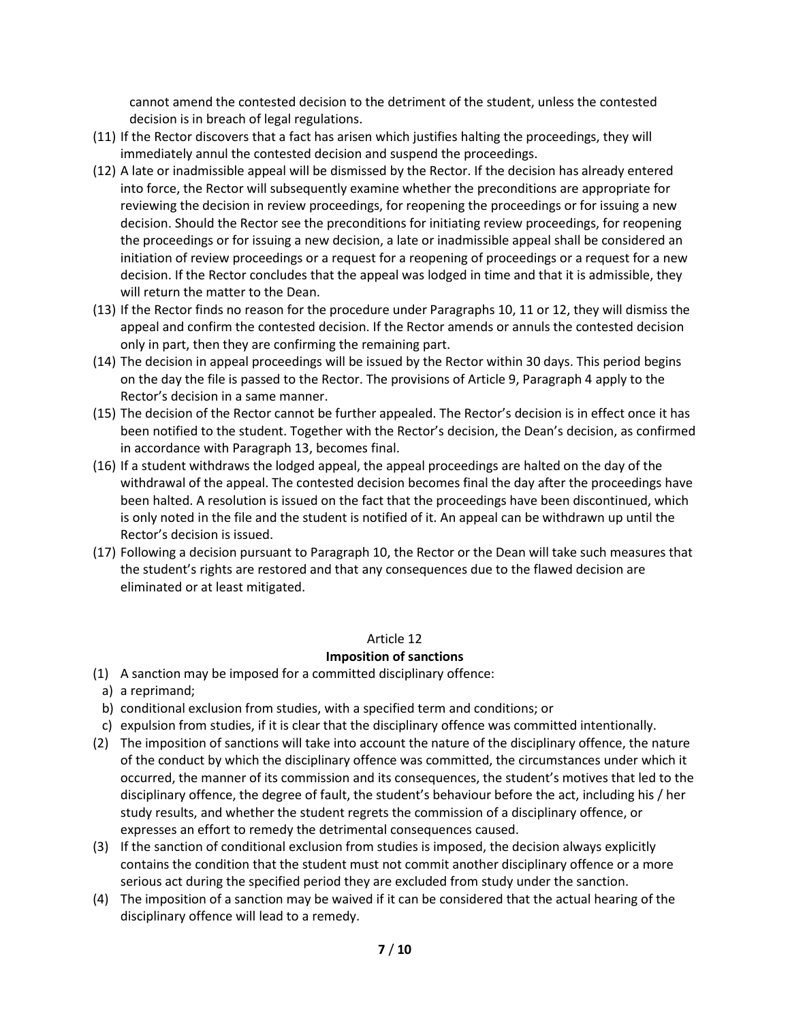cannot amend the contested decision to the detriment of the student, unless the contested decision is in breach of legal regulations.

- (11) If the Rector discovers that a fact has arisen which justifies halting the proceedings, they will immediately annul the contested decision and suspend the proceedings.
- (12) A late or inadmissible appeal will be dismissed by the Rector. If the decision has already entered into force, the Rector will subsequently examine whether the preconditions are appropriate for reviewing the decision in review proceedings, for reopening the proceedings or for issuing a new decision. Should the Rector see the preconditions for initiating review proceedings, for reopening the proceedings or for issuing a new decision, a late or inadmissible appeal shall be considered an initiation of review proceedings or a request for a reopening of proceedings or a request for a new decision. If the Rector concludes that the appeal was lodged in time and that it is admissible, they will return the matter to the Dean.
- (13) If the Rector finds no reason for the procedure under Paragraphs 10, 11 or 12, they will dismiss the appeal and confirm the contested decision. If the Rector amends or annuls the contested decision only in part, then they are confirming the remaining part.
- (14) The decision in appeal proceedings will be issued by the Rector within 30 days. This period begins on the day the file is passed to the Rector. The provisions of Article 9, Paragraph 4 apply to the Rector's decision in a same manner.
- (15) The decision of the Rector cannot be further appealed. The Rector's decision is in effect once it has been notified to the student. Together with the Rector's decision, the Dean's decision, as confirmed in accordance with Paragraph 13, becomes final.
- (16) If a student withdraws the lodged appeal, the appeal proceedings are halted on the day of the withdrawal of the appeal. The contested decision becomes final the day after the proceedings have been halted. A resolution is issued on the fact that the proceedings have been discontinued, which is only noted in the file and the student is notified of it. An appeal can be withdrawn up until the Rector's decision is issued.
- (17) Following a decision pursuant to Paragraph 10, the Rector or the Dean will take such measures that the student's rights are restored and that any consequences due to the flawed decision are eliminated or at least mitigated.

## Article 12

## **Imposition of sanctions**

- (1) A sanction may be imposed for a committed disciplinary offence:
	- a) a reprimand;
- b) conditional exclusion from studies, with a specified term and conditions; or
- c) expulsion from studies, if it is clear that the disciplinary offence was committed intentionally.
- (2) The imposition of sanctions will take into account the nature of the disciplinary offence, the nature of the conduct by which the disciplinary offence was committed, the circumstances under which it occurred, the manner of its commission and its consequences, the student's motives that led to the disciplinary offence, the degree of fault, the student's behaviour before the act, including his / her study results, and whether the student regrets the commission of a disciplinary offence, or expresses an effort to remedy the detrimental consequences caused.
- (3) If the sanction of conditional exclusion from studies is imposed, the decision always explicitly contains the condition that the student must not commit another disciplinary offence or a more serious act during the specified period they are excluded from study under the sanction.
- (4) The imposition of a sanction may be waived if it can be considered that the actual hearing of the disciplinary offence will lead to a remedy.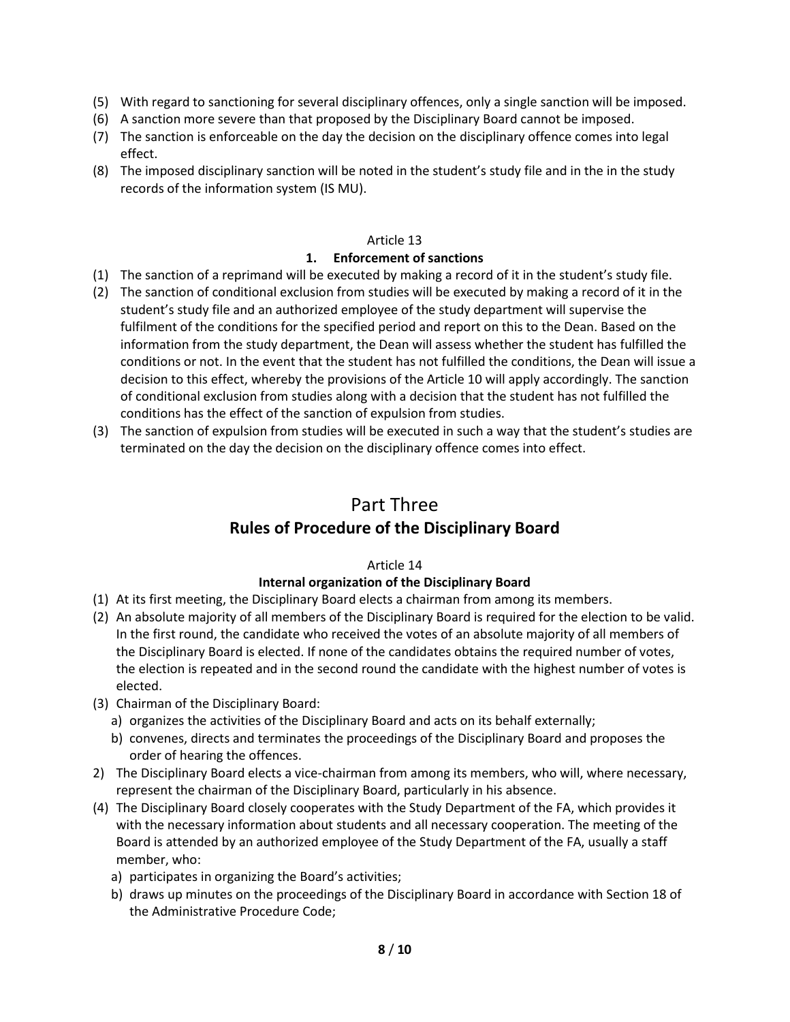- (5) With regard to sanctioning for several disciplinary offences, only a single sanction will be imposed.
- (6) A sanction more severe than that proposed by the Disciplinary Board cannot be imposed.
- (7) The sanction is enforceable on the day the decision on the disciplinary offence comes into legal effect.
- (8) The imposed disciplinary sanction will be noted in the student's study file and in the in the study records of the information system (IS MU).

## **1. Enforcement of sanctions**

- (1) The sanction of a reprimand will be executed by making a record of it in the student's study file.
- (2) The sanction of conditional exclusion from studies will be executed by making a record of it in the student's study file and an authorized employee of the study department will supervise the fulfilment of the conditions for the specified period and report on this to the Dean. Based on the information from the study department, the Dean will assess whether the student has fulfilled the conditions or not. In the event that the student has not fulfilled the conditions, the Dean will issue a decision to this effect, whereby the provisions of the Article 10 will apply accordingly. The sanction of conditional exclusion from studies along with a decision that the student has not fulfilled the conditions has the effect of the sanction of expulsion from studies.
- (3) The sanction of expulsion from studies will be executed in such a way that the student's studies are terminated on the day the decision on the disciplinary offence comes into effect.

# Part Three **Rules of Procedure of the Disciplinary Board**

## Article 14

## **Internal organization of the Disciplinary Board**

- (1) At its first meeting, the Disciplinary Board elects a chairman from among its members.
- (2) An absolute majority of all members of the Disciplinary Board is required for the election to be valid. In the first round, the candidate who received the votes of an absolute majority of all members of the Disciplinary Board is elected. If none of the candidates obtains the required number of votes, the election is repeated and in the second round the candidate with the highest number of votes is elected.
- (3) Chairman of the Disciplinary Board:
	- a) organizes the activities of the Disciplinary Board and acts on its behalf externally;
	- b) convenes, directs and terminates the proceedings of the Disciplinary Board and proposes the order of hearing the offences.
- 2) The Disciplinary Board elects a vice-chairman from among its members, who will, where necessary, represent the chairman of the Disciplinary Board, particularly in his absence.
- (4) The Disciplinary Board closely cooperates with the Study Department of the FA, which provides it with the necessary information about students and all necessary cooperation. The meeting of the Board is attended by an authorized employee of the Study Department of the FA, usually a staff member, who:
	- a) participates in organizing the Board's activities;
	- b) draws up minutes on the proceedings of the Disciplinary Board in accordance with Section 18 of the Administrative Procedure Code;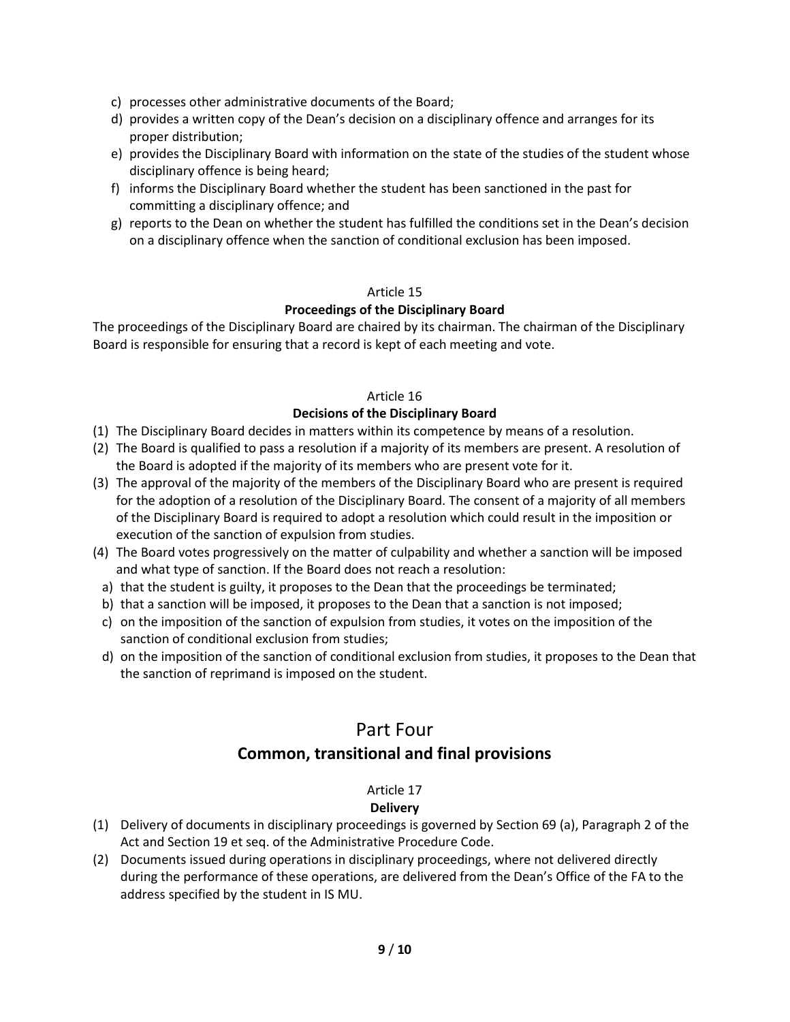- c) processes other administrative documents of the Board;
- d) provides a written copy of the Dean's decision on a disciplinary offence and arranges for its proper distribution;
- e) provides the Disciplinary Board with information on the state of the studies of the student whose disciplinary offence is being heard;
- f) informs the Disciplinary Board whether the student has been sanctioned in the past for committing a disciplinary offence; and
- g) reports to the Dean on whether the student has fulfilled the conditions set in the Dean's decision on a disciplinary offence when the sanction of conditional exclusion has been imposed.

## **Proceedings of the Disciplinary Board**

The proceedings of the Disciplinary Board are chaired by its chairman. The chairman of the Disciplinary Board is responsible for ensuring that a record is kept of each meeting and vote.

## Article 16

## **Decisions of the Disciplinary Board**

- (1) The Disciplinary Board decides in matters within its competence by means of a resolution.
- (2) The Board is qualified to pass a resolution if a majority of its members are present. A resolution of the Board is adopted if the majority of its members who are present vote for it.
- (3) The approval of the majority of the members of the Disciplinary Board who are present is required for the adoption of a resolution of the Disciplinary Board. The consent of a majority of all members of the Disciplinary Board is required to adopt a resolution which could result in the imposition or execution of the sanction of expulsion from studies.
- (4) The Board votes progressively on the matter of culpability and whether a sanction will be imposed and what type of sanction. If the Board does not reach a resolution:
- a) that the student is guilty, it proposes to the Dean that the proceedings be terminated;
- b) that a sanction will be imposed, it proposes to the Dean that a sanction is not imposed;
- c) on the imposition of the sanction of expulsion from studies, it votes on the imposition of the sanction of conditional exclusion from studies;
- d) on the imposition of the sanction of conditional exclusion from studies, it proposes to the Dean that the sanction of reprimand is imposed on the student.

## Part Four **Common, transitional and final provisions**

## Article 17

## **Delivery**

- (1) Delivery of documents in disciplinary proceedings is governed by Section 69 (a), Paragraph 2 of the Act and Section 19 et seq. of the Administrative Procedure Code.
- (2) Documents issued during operations in disciplinary proceedings, where not delivered directly during the performance of these operations, are delivered from the Dean's Office of the FA to the address specified by the student in IS MU.